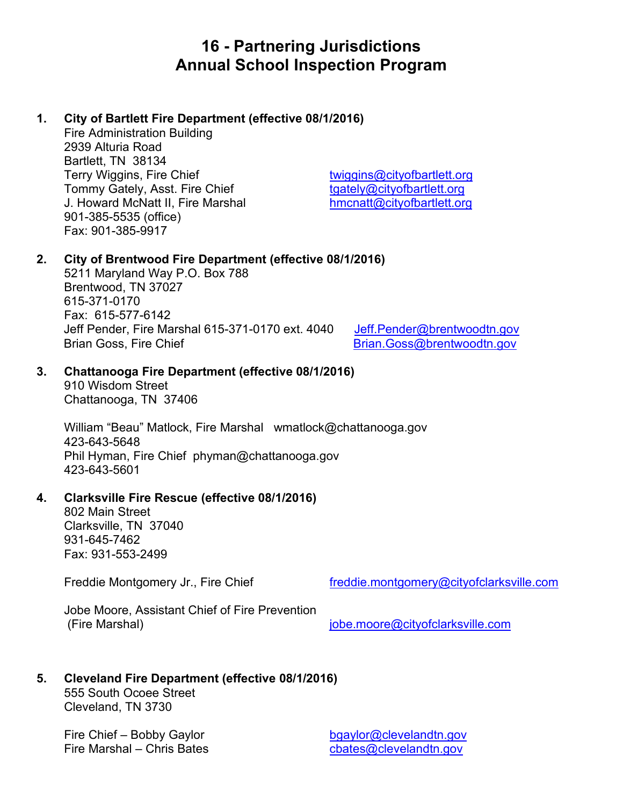# **16 - Partnering Jurisdictions Annual School Inspection Program**

# **1. City of Bartlett Fire Department (effective 08/1/2016)**

Fire Administration Building 2939 Alturia Road Bartlett, TN 38134 Terry Wiggins, Fire Chief the [twiggins@cityofbartlett.org](mailto:twiggins@cityofbartlett.org) Tommy Gately, Asst. Fire Chief the theory of the tasks to the type of the Tommy Gately and Tommy Gately and Tommy Gately and Tommy Gately and Tommy Gately and Tommy Gately and Tommy Gately and Tommy Gately and Tommy Gately J. Howard McNatt II, Fire Marshal [hmcnatt@cityofbartlett.org](mailto:hmcnatt@cityofbartlett.org) 901-385-5535 (office) Fax: 901-385-9917

# **2. City of Brentwood Fire Department (effective 08/1/2016)**

5211 Maryland Way P.O. Box 788 Brentwood, TN 37027 615-371-0170 Fax: 615-577-6142 Jeff Pender, Fire Marshal 615-371-0170 ext. 4040 Jeff. Pender@brentwoodtn.gov Brian Goss, Fire Chief [Brian.Goss@brentwoodtn.gov](mailto:Brian.Goss@brentwoodtn.gov)

# **3. Chattanooga Fire Department (effective 08/1/2016)**

910 Wisdom Street Chattanooga, TN 37406

William "Beau" Matlock, Fire Marshal [wmatlock@chattanooga.gov](mailto:wmatlock@chattanooga.gov) 423-643-5648 Phil Hyman, Fire Chief [phyman@chattanooga.gov](mailto:phyman@chattanooga.gov) 423-643-5601

# **4. Clarksville Fire Rescue (effective 08/1/2016)**

802 Main Street Clarksville, TN 37040 931-645-7462 Fax: 931-553-2499

Freddie Montgomery Jr., Fire Chief [freddie.montgomery@cityofclarksville.com](mailto:freddie.montgomery@cityofclarksville.com)

Jobe Moore, Assistant Chief of Fire Prevention (Fire Marshal) [jobe.moore@cityofclarksville.com](mailto:jobe.moore@cityofclarksville.com)

# **5. Cleveland Fire Department (effective 08/1/2016)**

555 South Ocoee Street Cleveland, TN 3730

Fire Chief – Bobby Gaylor [bgaylor@clevelandtn.gov](mailto:bgaylor@clevelandtn.gov) Fire Marshal – Chris Bates chates chates@clevelandtn.gov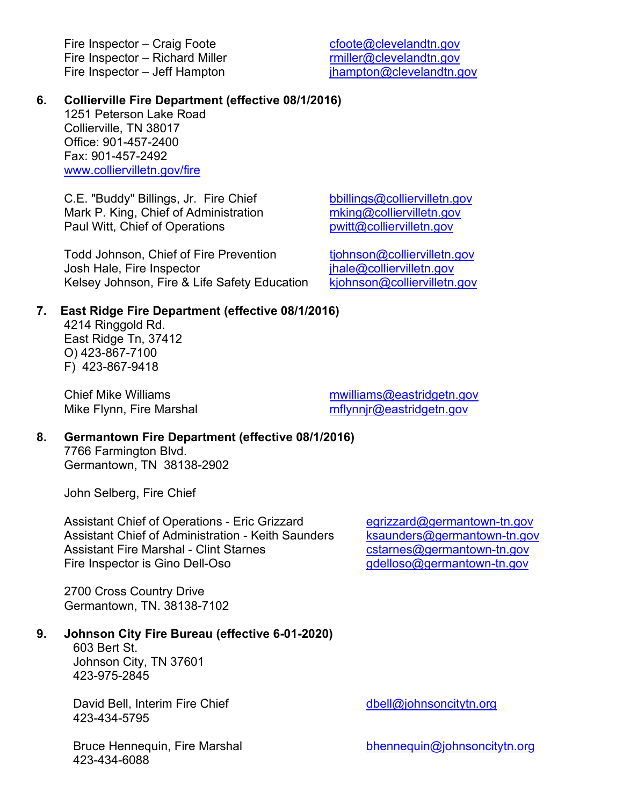Fire Inspector – Craig Foote compared control control control control control control control control control control control control control control control control control control control control control control control Fire Inspector – Richard Miller research and the miller of clevelandtn.gov<br>Fire Inspector – Jeff Hampton Fire Inspector – Jeff Hampton

#### **6. Collierville Fire Department (effective 08/1/2016)**

1251 Peterson Lake Road Collierville, TN 38017 Office: 901-457-2400 Fax: 901-457-2492 [www.colliervilletn.gov/fire](https://urldefense.com/v3/__http:/www.colliervilletn.gov/fire__;!!PRtDf9A!7FYsIlCZ5UaLVuwASS5vAAObOfqK980jYFtPsJN8y1KFZBDRCCjmAv11d0m5O7ti4Q$)

C.E. "Buddy" Billings, Jr. Fire Chief [bbillings@colliervilletn.gov](mailto:bbillings@colliervilletn.gov) Mark P. King, Chief of Administration must mean in the match of Paul Witt, Chief of Operations means must be posited and point  $\frac{\text{mking@colliervilletn.gov}}{\text{pwitt@colliervilletn.gov}}$  $\frac{\text{mking@colliervilletn.gov}}{\text{pwitt@colliervilletn.gov}}$  $\frac{\text{mking@colliervilletn.gov}}{\text{pwitt@colliervilletn.gov}}$ Paul Witt, Chief of Operations

Todd Johnson, Chief of Fire Prevention tiohnson@colliervilletn.gov Josh Hale, Fire Inspector<br>Kelsey Johnson, Fire & Life Safety Education kiohnson@colliervilletn.gov Kelsey Johnson, Fire & Life Safety Education

#### **7. East Ridge Fire Department (effective 08/1/2016)**

4214 Ringgold Rd. East Ridge Tn, 37412 O) 423-867-7100 F) 423-867-9418

Chief Mike Williams **must are must allow williams** mwilliams and moving eastridgetn.gov Mike Flynn, Fire Marshal manual mflynnir@eastridgetn.gov

#### **8. Germantown Fire Department (effective 08/1/2016)**

7766 Farmington Blvd. Germantown, TN 38138-2902

John Selberg, Fire Chief

Assistant Chief of Operations - Eric Grizzard [egrizzard@germantown-tn.gov](mailto:egrizzard@germantown-tn.gov) Assistant Chief of Administration - Keith Saunders [ksaunders@germantown-tn.gov](mailto:ksaunders@germantown-tn.gov) Assistant Fire Marshal - Clint Starnes<br>
Fire Inspector is Gino Dell-Oso<br>
Tire Inspector is Gino Dell-Oso Fire Inspector is Gino Dell-Oso

2700 Cross Country Drive Germantown, TN. 38138-7102

#### **9. Johnson City Fire Bureau (effective 6-01-2020)**

603 Bert St. Johnson City, TN 37601 423-975-2845

David Bell, Interim Fire Chief dbell [dbell@johnsoncitytn.org](mailto:dbell@johnsoncitytn.org) 423-434-5795

Bruce Hennequin, Fire Marshal [bhennequin@johnsoncitytn.org](mailto:bhennequin@johnsoncitytn.org) 423-434-6088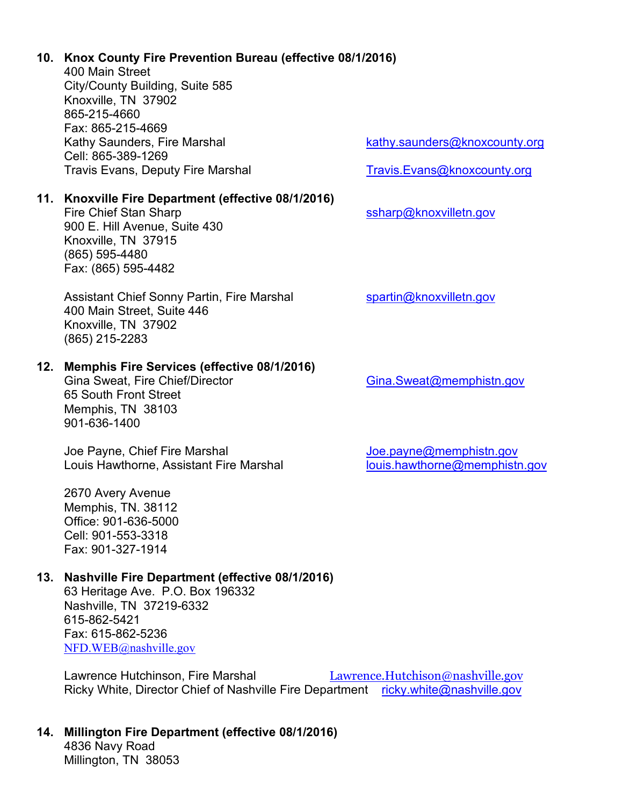# **10. Knox County Fire Prevention Bureau (effective 08/1/2016)**

400 Main Street City/County Building, Suite 585 Knoxville, TN 37902 865-215-4660 Fax: 865-215-4669 Kathy Saunders, Fire Marshal [kathy.saunders@knoxcounty.org](mailto:kathy.saunders@knoxcounty.org) Cell: 865-389-1269 Travis Evans, Deputy Fire Marshal [Travis.Evans@knoxcounty.org](mailto:Travis.Evans@knoxcounty.org)

**11. Knoxville Fire Department (effective 08/1/2016)**

Fire Chief Stan Sharp state of the state of the state state state state of the state of the state state state of the state state state state state state state state state state state state state state state state state sta 900 E. Hill Avenue, Suite 430 Knoxville, TN 37915 (865) 595-4480 Fax: (865) 595-4482

Assistant Chief Sonny Partin, Fire Marshal [spartin@knoxvilletn.gov](mailto:spartin@knoxvilletn.gov) 400 Main Street, Suite 446 Knoxville, TN 37902 (865) 215-2283

# **12. Memphis Fire Services (effective 08/1/2016)**

65 South Front Street Memphis, TN 38103 901-636-1400

Joe Payne, Chief Fire Marshal <u>[Joe.payne@memphistn.gov](mailto:Joe.payne@memphistn.gov)</u><br>Louis Hawthorne, Assistant Fire Marshal louis.hawthorne@memphistn.gov Louis Hawthorne, Assistant Fire Marshal

2670 Avery Avenue Memphis, TN. 38112 Office: 901-636-5000 Cell: 901-553-3318 Fax: 901-327-1914

# **13. Nashville Fire Department (effective 08/1/2016)**

63 Heritage Ave. P.O. Box 196332 Nashville, TN 37219-6332 615-862-5421 Fax: 615-862-5236 [NFD.WEB@nashville.gov](mailto:NFD.WEB@nashville.gov)

Lawrence Hutchinson, Fire Marshal [Lawrence.Hutchison@nashville.gov](mailto:Lawrence.Hutchison@nashville.gov) Ricky White, Director Chief of Nashville Fire Department [ricky.white@nashville.gov](mailto:ricky.white@nashville.gov)

**14. Millington Fire Department (effective 08/1/2016)** 4836 Navy Road

Millington, TN 38053

[Gina.Sweat@memphistn.gov](mailto:Gina.Sweat@memphistn.gov)